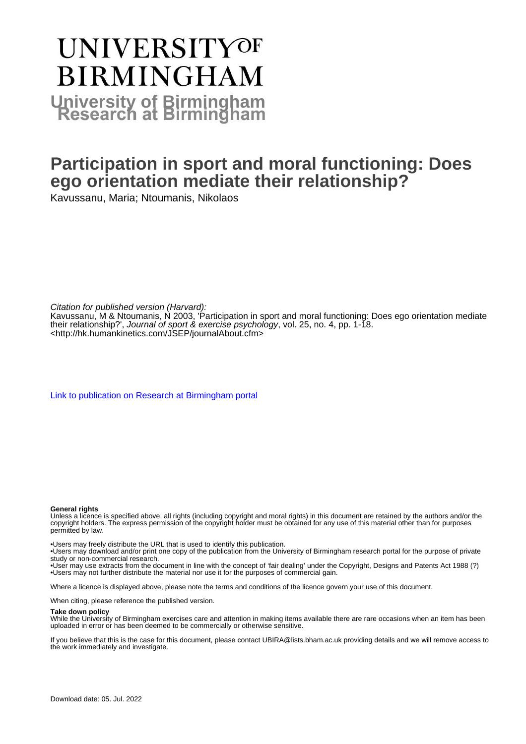# **UNIVERSITYOF BIRMINGHAM University of Birmingham**

## **Participation in sport and moral functioning: Does ego orientation mediate their relationship?**

Kavussanu, Maria; Ntoumanis, Nikolaos

Citation for published version (Harvard):

Kavussanu, M & Ntoumanis, N 2003, 'Participation in sport and moral functioning: Does ego orientation mediate their relationship?', Journal of sport & exercise psychology, vol. 25, no. 4, pp. 1-18. <<http://hk.humankinetics.com/JSEP/journalAbout.cfm>>

[Link to publication on Research at Birmingham portal](https://birmingham.elsevierpure.com/en/publications/4d01fa96-e4ff-4999-b447-124cd1af4325)

#### **General rights**

Unless a licence is specified above, all rights (including copyright and moral rights) in this document are retained by the authors and/or the copyright holders. The express permission of the copyright holder must be obtained for any use of this material other than for purposes permitted by law.

• Users may freely distribute the URL that is used to identify this publication.

• Users may download and/or print one copy of the publication from the University of Birmingham research portal for the purpose of private study or non-commercial research.

• User may use extracts from the document in line with the concept of 'fair dealing' under the Copyright, Designs and Patents Act 1988 (?) • Users may not further distribute the material nor use it for the purposes of commercial gain.

Where a licence is displayed above, please note the terms and conditions of the licence govern your use of this document.

When citing, please reference the published version.

#### **Take down policy**

While the University of Birmingham exercises care and attention in making items available there are rare occasions when an item has been uploaded in error or has been deemed to be commercially or otherwise sensitive.

If you believe that this is the case for this document, please contact UBIRA@lists.bham.ac.uk providing details and we will remove access to the work immediately and investigate.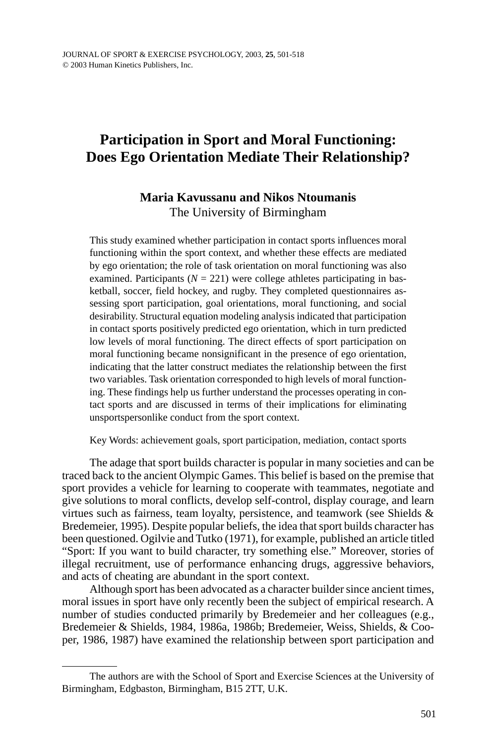### **Participation in Sport and Moral Functioning: Does Ego Orientation Mediate Their Relationship?**

#### **Maria Kavussanu and Nikos Ntoumanis**

The University of Birmingham

This study examined whether participation in contact sports influences moral functioning within the sport context, and whether these effects are mediated by ego orientation; the role of task orientation on moral functioning was also examined. Participants  $(N = 221)$  were college athletes participating in basketball, soccer, field hockey, and rugby. They completed questionnaires assessing sport participation, goal orientations, moral functioning, and social desirability. Structural equation modeling analysis indicated that participation in contact sports positively predicted ego orientation, which in turn predicted low levels of moral functioning. The direct effects of sport participation on moral functioning became nonsignificant in the presence of ego orientation, indicating that the latter construct mediates the relationship between the first two variables. Task orientation corresponded to high levels of moral functioning. These findings help us further understand the processes operating in contact sports and are discussed in terms of their implications for eliminating unsportspersonlike conduct from the sport context.

Key Words: achievement goals, sport participation, mediation, contact sports

The adage that sport builds character is popular in many societies and can be traced back to the ancient Olympic Games. This belief is based on the premise that sport provides a vehicle for learning to cooperate with teammates, negotiate and give solutions to moral conflicts, develop self-control, display courage, and learn virtues such as fairness, team loyalty, persistence, and teamwork (see Shields  $\&$ Bredemeier, 1995). Despite popular beliefs, the idea that sport builds character has been questioned. Ogilvie and Tutko (1971), for example, published an article titled "Sport: If you want to build character, try something else." Moreover, stories of illegal recruitment, use of performance enhancing drugs, aggressive behaviors, and acts of cheating are abundant in the sport context.

Although sport has been advocated as a character builder since ancient times, moral issues in sport have only recently been the subject of empirical research. A number of studies conducted primarily by Bredemeier and her colleagues (e.g., Bredemeier & Shields, 1984, 1986a, 1986b; Bredemeier, Weiss, Shields, & Cooper, 1986, 1987) have examined the relationship between sport participation and

The authors are with the School of Sport and Exercise Sciences at the University of Birmingham, Edgbaston, Birmingham, B15 2TT, U.K.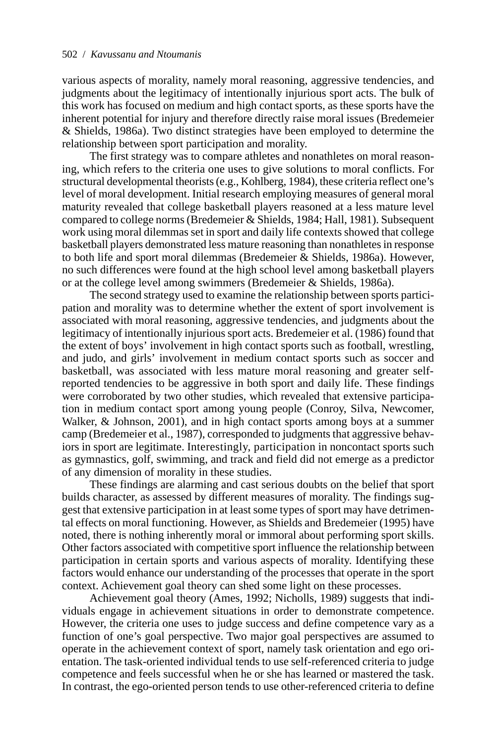various aspects of morality, namely moral reasoning, aggressive tendencies, and judgments about the legitimacy of intentionally injurious sport acts. The bulk of this work has focused on medium and high contact sports, as these sports have the inherent potential for injury and therefore directly raise moral issues (Bredemeier & Shields, 1986a). Two distinct strategies have been employed to determine the relationship between sport participation and morality.

The first strategy was to compare athletes and nonathletes on moral reasoning, which refers to the criteria one uses to give solutions to moral conflicts. For structural developmental theorists (e.g., Kohlberg, 1984), these criteria reflect one's level of moral development. Initial research employing measures of general moral maturity revealed that college basketball players reasoned at a less mature level compared to college norms (Bredemeier & Shields, 1984; Hall, 1981). Subsequent work using moral dilemmas set in sport and daily life contexts showed that college basketball players demonstrated less mature reasoning than nonathletes in response to both life and sport moral dilemmas (Bredemeier & Shields, 1986a). However, no such differences were found at the high school level among basketball players or at the college level among swimmers (Bredemeier & Shields, 1986a).

The second strategy used to examine the relationship between sports participation and morality was to determine whether the extent of sport involvement is associated with moral reasoning, aggressive tendencies, and judgments about the legitimacy of intentionally injurious sport acts. Bredemeier et al. (1986) found that the extent of boys' involvement in high contact sports such as football, wrestling, and judo, and girls' involvement in medium contact sports such as soccer and basketball, was associated with less mature moral reasoning and greater selfreported tendencies to be aggressive in both sport and daily life. These findings were corroborated by two other studies, which revealed that extensive participation in medium contact sport among young people (Conroy, Silva, Newcomer, Walker, & Johnson, 2001), and in high contact sports among boys at a summer camp (Bredemeier et al., 1987), corresponded to judgments that aggressive behaviors in sport are legitimate. Interestingly, participation in noncontact sports such as gymnastics, golf, swimming, and track and field did not emerge as a predictor of any dimension of morality in these studies.

These findings are alarming and cast serious doubts on the belief that sport builds character, as assessed by different measures of morality. The findings suggest that extensive participation in at least some types of sport may have detrimental effects on moral functioning. However, as Shields and Bredemeier (1995) have noted, there is nothing inherently moral or immoral about performing sport skills. Other factors associated with competitive sport influence the relationship between participation in certain sports and various aspects of morality. Identifying these factors would enhance our understanding of the processes that operate in the sport context. Achievement goal theory can shed some light on these processes.

Achievement goal theory (Ames, 1992; Nicholls, 1989) suggests that individuals engage in achievement situations in order to demonstrate competence. However, the criteria one uses to judge success and define competence vary as a function of one's goal perspective. Two major goal perspectives are assumed to operate in the achievement context of sport, namely task orientation and ego orientation. The task-oriented individual tends to use self-referenced criteria to judge competence and feels successful when he or she has learned or mastered the task. In contrast, the ego-oriented person tends to use other-referenced criteria to define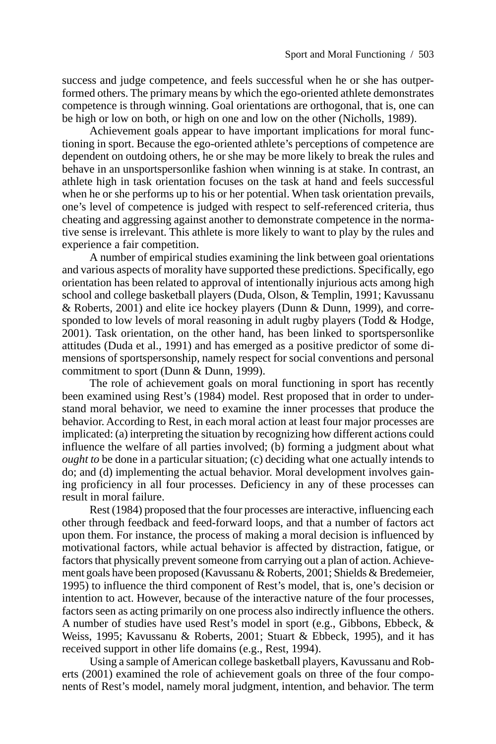success and judge competence, and feels successful when he or she has outperformed others. The primary means by which the ego-oriented athlete demonstrates competence is through winning. Goal orientations are orthogonal, that is, one can be high or low on both, or high on one and low on the other (Nicholls, 1989).

Achievement goals appear to have important implications for moral functioning in sport. Because the ego-oriented athlete's perceptions of competence are dependent on outdoing others, he or she may be more likely to break the rules and behave in an unsportspersonlike fashion when winning is at stake. In contrast, an athlete high in task orientation focuses on the task at hand and feels successful when he or she performs up to his or her potential. When task orientation prevails, one's level of competence is judged with respect to self-referenced criteria, thus cheating and aggressing against another to demonstrate competence in the normative sense is irrelevant. This athlete is more likely to want to play by the rules and experience a fair competition.

A number of empirical studies examining the link between goal orientations and various aspects of morality have supported these predictions. Specifically, ego orientation has been related to approval of intentionally injurious acts among high school and college basketball players (Duda, Olson, & Templin, 1991; Kavussanu & Roberts, 2001) and elite ice hockey players (Dunn & Dunn, 1999), and corresponded to low levels of moral reasoning in adult rugby players (Todd & Hodge, 2001). Task orientation, on the other hand, has been linked to sportspersonlike attitudes (Duda et al., 1991) and has emerged as a positive predictor of some dimensions of sportspersonship, namely respect for social conventions and personal commitment to sport (Dunn & Dunn, 1999).

The role of achievement goals on moral functioning in sport has recently been examined using Rest's (1984) model. Rest proposed that in order to understand moral behavior, we need to examine the inner processes that produce the behavior. According to Rest, in each moral action at least four major processes are implicated: (a) interpreting the situation by recognizing how different actions could influence the welfare of all parties involved; (b) forming a judgment about what *ought to* be done in a particular situation; (c) deciding what one actually intends to do; and (d) implementing the actual behavior. Moral development involves gaining proficiency in all four processes. Deficiency in any of these processes can result in moral failure.

Rest (1984) proposed that the four processes are interactive, influencing each other through feedback and feed-forward loops, and that a number of factors act upon them. For instance, the process of making a moral decision is influenced by motivational factors, while actual behavior is affected by distraction, fatigue, or factors that physically prevent someone from carrying out a plan of action. Achievement goals have been proposed (Kavussanu & Roberts, 2001; Shields & Bredemeier, 1995) to influence the third component of Rest's model, that is, one's decision or intention to act. However, because of the interactive nature of the four processes, factors seen as acting primarily on one process also indirectly influence the others. A number of studies have used Rest's model in sport (e.g., Gibbons, Ebbeck, & Weiss, 1995; Kavussanu & Roberts, 2001; Stuart & Ebbeck, 1995), and it has received support in other life domains (e.g., Rest, 1994).

Using a sample of American college basketball players, Kavussanu and Roberts (2001) examined the role of achievement goals on three of the four components of Rest's model, namely moral judgment, intention, and behavior. The term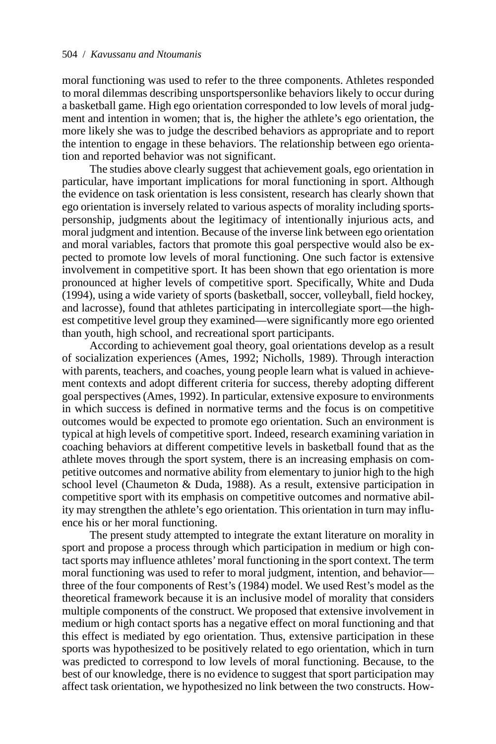moral functioning was used to refer to the three components. Athletes responded to moral dilemmas describing unsportspersonlike behaviors likely to occur during a basketball game. High ego orientation corresponded to low levels of moral judgment and intention in women; that is, the higher the athlete's ego orientation, the more likely she was to judge the described behaviors as appropriate and to report the intention to engage in these behaviors. The relationship between ego orientation and reported behavior was not significant.

The studies above clearly suggest that achievement goals, ego orientation in particular, have important implications for moral functioning in sport. Although the evidence on task orientation is less consistent, research has clearly shown that ego orientation is inversely related to various aspects of morality including sportspersonship, judgments about the legitimacy of intentionally injurious acts, and moral judgment and intention. Because of the inverse link between ego orientation and moral variables, factors that promote this goal perspective would also be expected to promote low levels of moral functioning. One such factor is extensive involvement in competitive sport. It has been shown that ego orientation is more pronounced at higher levels of competitive sport. Specifically, White and Duda (1994), using a wide variety of sports (basketball, soccer, volleyball, field hockey, and lacrosse), found that athletes participating in intercollegiate sport—the highest competitive level group they examined—were significantly more ego oriented than youth, high school, and recreational sport participants.

According to achievement goal theory, goal orientations develop as a result of socialization experiences (Ames, 1992; Nicholls, 1989). Through interaction with parents, teachers, and coaches, young people learn what is valued in achievement contexts and adopt different criteria for success, thereby adopting different goal perspectives (Ames, 1992). In particular, extensive exposure to environments in which success is defined in normative terms and the focus is on competitive outcomes would be expected to promote ego orientation. Such an environment is typical at high levels of competitive sport. Indeed, research examining variation in coaching behaviors at different competitive levels in basketball found that as the athlete moves through the sport system, there is an increasing emphasis on competitive outcomes and normative ability from elementary to junior high to the high school level (Chaumeton & Duda, 1988). As a result, extensive participation in competitive sport with its emphasis on competitive outcomes and normative ability may strengthen the athlete's ego orientation. This orientation in turn may influence his or her moral functioning.

The present study attempted to integrate the extant literature on morality in sport and propose a process through which participation in medium or high contact sports may influence athletes' moral functioning in the sport context. The term moral functioning was used to refer to moral judgment, intention, and behavior three of the four components of Rest's (1984) model. We used Rest's model as the theoretical framework because it is an inclusive model of morality that considers multiple components of the construct. We proposed that extensive involvement in medium or high contact sports has a negative effect on moral functioning and that this effect is mediated by ego orientation. Thus, extensive participation in these sports was hypothesized to be positively related to ego orientation, which in turn was predicted to correspond to low levels of moral functioning. Because, to the best of our knowledge, there is no evidence to suggest that sport participation may affect task orientation, we hypothesized no link between the two constructs. How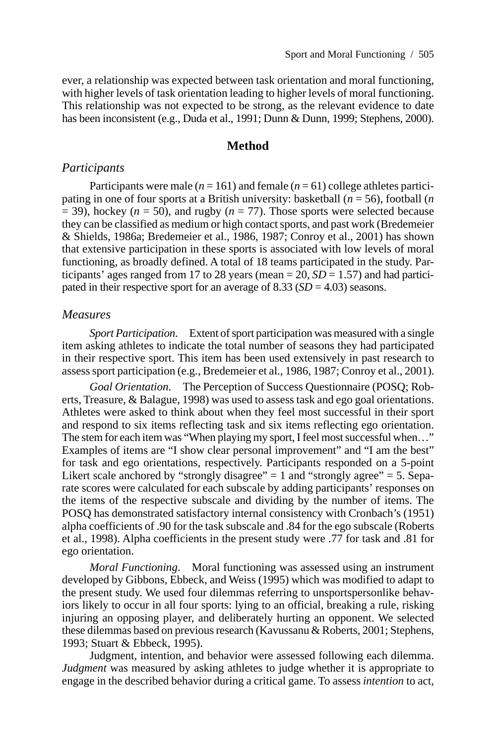ever, a relationship was expected between task orientation and moral functioning, with higher levels of task orientation leading to higher levels of moral functioning. This relationship was not expected to be strong, as the relevant evidence to date has been inconsistent (e.g., Duda et al., 1991; Dunn & Dunn, 1999; Stephens, 2000).

#### **Method**

#### *Participants*

Participants were male ( $n = 161$ ) and female ( $n = 61$ ) college athletes participating in one of four sports at a British university: basketball (*n* = 56), football (*n*  $=$  39), hockey ( $n = 50$ ), and rugby ( $n = 77$ ). Those sports were selected because they can be classified as medium or high contact sports, and past work (Bredemeier & Shields, 1986a; Bredemeier et al., 1986, 1987; Conroy et al., 2001) has shown that extensive participation in these sports is associated with low levels of moral functioning, as broadly defined. A total of 18 teams participated in the study. Participants' ages ranged from 17 to 28 years (mean  $= 20$ ,  $SD = 1.57$ ) and had participated in their respective sport for an average of  $8.33$  (*SD* = 4.03) seasons.

#### *Measures*

*Sport Participation*. Extent of sport participation was measured with a single item asking athletes to indicate the total number of seasons they had participated in their respective sport. This item has been used extensively in past research to assess sport participation (e.g., Bredemeier et al., 1986, 1987; Conroy et al., 2001).

*Goal Orientation*. The Perception of Success Questionnaire (POSQ; Roberts, Treasure, & Balague, 1998) was used to assess task and ego goal orientations. Athletes were asked to think about when they feel most successful in their sport and respond to six items reflecting task and six items reflecting ego orientation. The stem for each item was "When playing my sport, I feel most successful when..." Examples of items are "I show clear personal improvement" and "I am the best" for task and ego orientations, respectively. Participants responded on a 5-point Likert scale anchored by "strongly disagree" = 1 and "strongly agree" = 5. Separate scores were calculated for each subscale by adding participants' responses on the items of the respective subscale and dividing by the number of items. The POSQ has demonstrated satisfactory internal consistency with Cronbach's (1951) alpha coefficients of .90 for the task subscale and .84 for the ego subscale (Roberts et al., 1998). Alpha coefficients in the present study were .77 for task and .81 for ego orientation.

*Moral Functioning*. Moral functioning was assessed using an instrument developed by Gibbons, Ebbeck, and Weiss (1995) which was modified to adapt to the present study. We used four dilemmas referring to unsportspersonlike behaviors likely to occur in all four sports: lying to an official, breaking a rule, risking injuring an opposing player, and deliberately hurting an opponent. We selected these dilemmas based on previous research (Kavussanu & Roberts, 2001; Stephens, 1993; Stuart & Ebbeck, 1995).

Judgment, intention, and behavior were assessed following each dilemma. *Judgment* was measured by asking athletes to judge whether it is appropriate to engage in the described behavior during a critical game. To assess *intention* to act,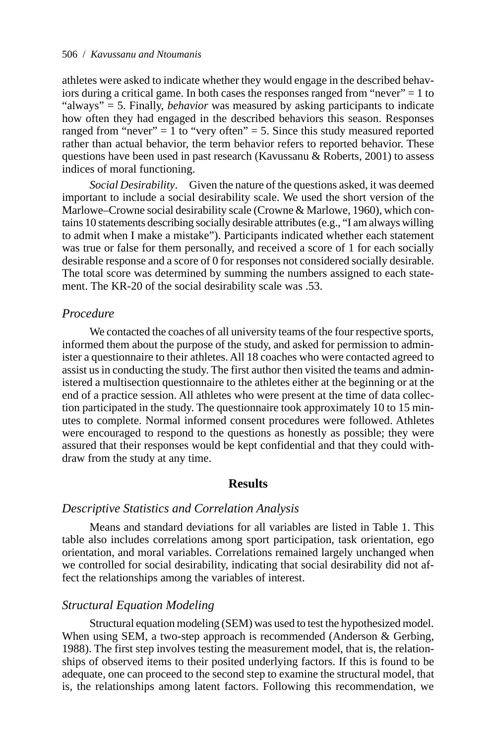athletes were asked to indicate whether they would engage in the described behaviors during a critical game. In both cases the responses ranged from "never"  $= 1$  to "always" = 5. Finally, *behavior* was measured by asking participants to indicate how often they had engaged in the described behaviors this season. Responses ranged from "never"  $= 1$  to "very often"  $= 5$ . Since this study measured reported rather than actual behavior, the term behavior refers to reported behavior. These questions have been used in past research (Kavussanu & Roberts, 2001) to assess indices of moral functioning.

*Social Desirability*. Given the nature of the questions asked, it was deemed important to include a social desirability scale. We used the short version of the Marlowe–Crowne social desirability scale (Crowne & Marlowe, 1960), which contains 10 statements describing socially desirable attributes (e.g., "I am always willing to admit when I make a mistake"). Participants indicated whether each statement was true or false for them personally, and received a score of 1 for each socially desirable response and a score of 0 for responses not considered socially desirable. The total score was determined by summing the numbers assigned to each statement. The KR-20 of the social desirability scale was .53.

#### *Procedure*

We contacted the coaches of all university teams of the four respective sports, informed them about the purpose of the study, and asked for permission to administer a questionnaire to their athletes. All 18 coaches who were contacted agreed to assist us in conducting the study. The first author then visited the teams and administered a multisection questionnaire to the athletes either at the beginning or at the end of a practice session. All athletes who were present at the time of data collection participated in the study. The questionnaire took approximately 10 to 15 minutes to complete. Normal informed consent procedures were followed. Athletes were encouraged to respond to the questions as honestly as possible; they were assured that their responses would be kept confidential and that they could withdraw from the study at any time.

#### **Results**

#### *Descriptive Statistics and Correlation Analysis*

Means and standard deviations for all variables are listed in Table 1. This table also includes correlations among sport participation, task orientation, ego orientation, and moral variables. Correlations remained largely unchanged when we controlled for social desirability, indicating that social desirability did not affect the relationships among the variables of interest.

#### *Structural Equation Modeling*

Structural equation modeling (SEM) was used to test the hypothesized model. When using SEM, a two-step approach is recommended (Anderson & Gerbing, 1988). The first step involves testing the measurement model, that is, the relationships of observed items to their posited underlying factors. If this is found to be adequate, one can proceed to the second step to examine the structural model, that is, the relationships among latent factors. Following this recommendation, we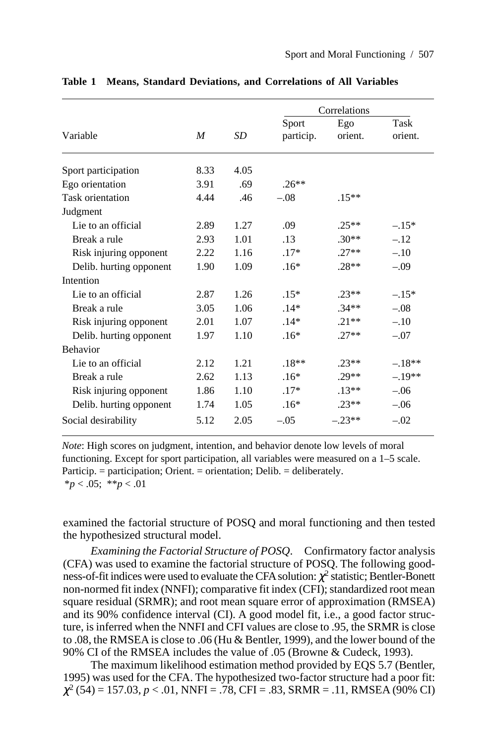|                         |      |           |           | Correlations |          |
|-------------------------|------|-----------|-----------|--------------|----------|
|                         |      |           | Sport     | Ego          | Task     |
| Variable                | M    | <b>SD</b> | particip. | orient.      | orient.  |
| Sport participation     | 8.33 | 4.05      |           |              |          |
| Ego orientation         | 3.91 | .69       | $.26**$   |              |          |
| Task orientation        | 4.44 | .46       | $-.08$    | $.15**$      |          |
| Judgment                |      |           |           |              |          |
| Lie to an official      | 2.89 | 1.27      | .09       | $.25**$      | $-.15*$  |
| Break a rule            | 2.93 | 1.01      | .13       | $.30**$      | $-.12$   |
| Risk injuring opponent  | 2.22 | 1.16      | $.17*$    | $.27**$      | $-.10$   |
| Delib. hurting opponent | 1.90 | 1.09      | $.16*$    | $.28**$      | $-.09$   |
| Intention               |      |           |           |              |          |
| Lie to an official      | 2.87 | 1.26      | $.15*$    | $.23**$      | $-.15*$  |
| Break a rule            | 3.05 | 1.06      | $.14*$    | $.34**$      | $-.08$   |
| Risk injuring opponent  | 2.01 | 1.07      | $.14*$    | $.21**$      | $-.10$   |
| Delib. hurting opponent | 1.97 | 1.10      | $.16*$    | $.27**$      | $-.07$   |
| <b>Behavior</b>         |      |           |           |              |          |
| Lie to an official      | 2.12 | 1.21      | $.18**$   | $.23**$      | $-.18**$ |
| Break a rule            | 2.62 | 1.13      | $.16*$    | $.29**$      | $-.19**$ |
| Risk injuring opponent  | 1.86 | 1.10      | $.17*$    | $.13**$      | $-.06$   |
| Delib. hurting opponent | 1.74 | 1.05      | $.16*$    | $.23**$      | $-.06$   |
| Social desirability     | 5.12 | 2.05      | $-.05$    | $-.23**$     | $-.02$   |

**Table 1 Means, Standard Deviations, and Correlations of All Variables**

*Note*: High scores on judgment, intention, and behavior denote low levels of moral functioning. Except for sport participation, all variables were measured on a 1–5 scale. Particip. = participation; Orient. = orientation; Delib. = deliberately. \**p* < .05; \*\**p* < .01

examined the factorial structure of POSQ and moral functioning and then tested the hypothesized structural model.

*Examining the Factorial Structure of POSQ*. Confirmatory factor analysis (CFA) was used to examine the factorial structure of POSQ. The following goodness-of-fit indices were used to evaluate the CFA solution:  $\chi^2$  statistic; Bentler-Bonett non-normed fit index (NNFI); comparative fit index (CFI); standardized root mean square residual (SRMR); and root mean square error of approximation (RMSEA) and its 90% confidence interval (CI). A good model fit, i.e., a good factor structure, is inferred when the NNFI and CFI values are close to .95, the SRMR is close to .08, the RMSEA is close to .06 (Hu & Bentler, 1999), and the lower bound of the 90% CI of the RMSEA includes the value of .05 (Browne & Cudeck, 1993).

The maximum likelihood estimation method provided by EQS 5.7 (Bentler, 1995) was used for the CFA. The hypothesized two-factor structure had a poor fit:  $\chi^2$  (54) = 157.03, *p* < .01, NNFI = .78, CFI = .83, SRMR = .11, RMSEA (90% CI)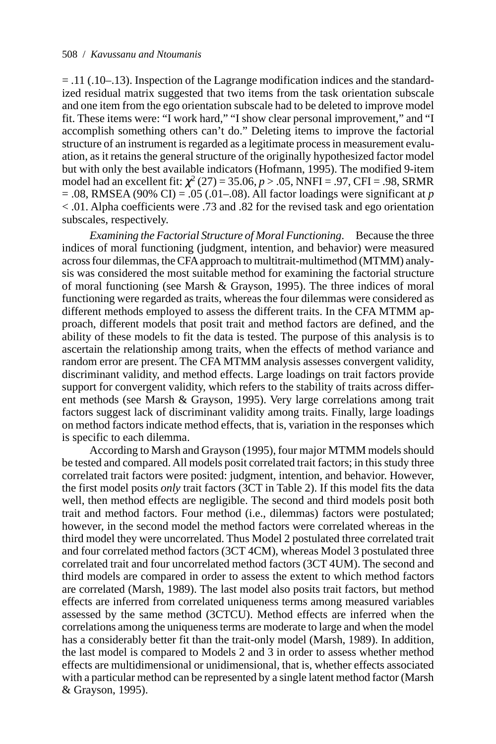= .11 (.10–.13). Inspection of the Lagrange modification indices and the standardized residual matrix suggested that two items from the task orientation subscale and one item from the ego orientation subscale had to be deleted to improve model fit. These items were: "I work hard," "I show clear personal improvement," and "I accomplish something others can't do." Deleting items to improve the factorial structure of an instrument is regarded as a legitimate process in measurement evaluation, as it retains the general structure of the originally hypothesized factor model but with only the best available indicators (Hofmann, 1995). The modified 9-item model had an excellent fit:  $\chi^2$  (27) = 35.06, *p* > .05, NNFI = .97, CFI = .98, SRMR  $= .08$ , RMSEA (90% CI)  $= .05$  (.01–.08). All factor loadings were significant at *p* < .01. Alpha coefficients were .73 and .82 for the revised task and ego orientation subscales, respectively.

*Examining the Factorial Structure of Moral Functioning*. Because the three indices of moral functioning (judgment, intention, and behavior) were measured across four dilemmas, the CFA approach to multitrait-multimethod (MTMM) analysis was considered the most suitable method for examining the factorial structure of moral functioning (see Marsh & Grayson, 1995). The three indices of moral functioning were regarded as traits, whereas the four dilemmas were considered as different methods employed to assess the different traits. In the CFA MTMM approach, different models that posit trait and method factors are defined, and the ability of these models to fit the data is tested. The purpose of this analysis is to ascertain the relationship among traits, when the effects of method variance and random error are present. The CFA MTMM analysis assesses convergent validity, discriminant validity, and method effects. Large loadings on trait factors provide support for convergent validity, which refers to the stability of traits across different methods (see Marsh & Grayson, 1995). Very large correlations among trait factors suggest lack of discriminant validity among traits. Finally, large loadings on method factors indicate method effects, that is, variation in the responses which is specific to each dilemma.

According to Marsh and Grayson (1995), four major MTMM models should be tested and compared. All models posit correlated trait factors; in this study three correlated trait factors were posited: judgment, intention, and behavior. However, the first model posits *only* trait factors (3CT in Table 2). If this model fits the data well, then method effects are negligible. The second and third models posit both trait and method factors. Four method (i.e., dilemmas) factors were postulated; however, in the second model the method factors were correlated whereas in the third model they were uncorrelated. Thus Model 2 postulated three correlated trait and four correlated method factors (3CT 4CM), whereas Model 3 postulated three correlated trait and four uncorrelated method factors (3CT 4UM). The second and third models are compared in order to assess the extent to which method factors are correlated (Marsh, 1989). The last model also posits trait factors, but method effects are inferred from correlated uniqueness terms among measured variables assessed by the same method (3CTCU). Method effects are inferred when the correlations among the uniqueness terms are moderate to large and when the model has a considerably better fit than the trait-only model (Marsh, 1989). In addition, the last model is compared to Models 2 and 3 in order to assess whether method effects are multidimensional or unidimensional, that is, whether effects associated with a particular method can be represented by a single latent method factor (Marsh & Grayson, 1995).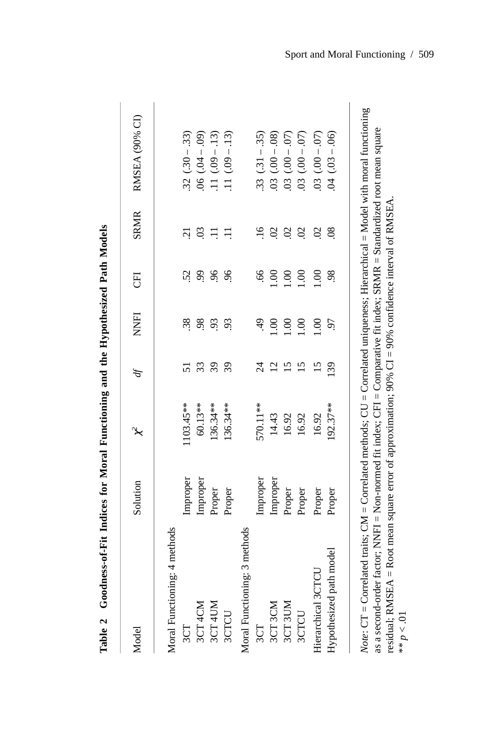| 51<br>Ą<br>1103.45**<br>Ł<br>Improper<br>Solution<br>Moral Functioning: 4 methods<br>3CT<br>Model |    |                 |                |                |                             |
|---------------------------------------------------------------------------------------------------|----|-----------------|----------------|----------------|-----------------------------|
|                                                                                                   |    | <b>NNFI</b>     | E              | <b>SRMR</b>    | RMSEA (90% CI)              |
|                                                                                                   |    |                 |                |                |                             |
|                                                                                                   |    | 38              | 52             | $\overline{c}$ | $.32(.30-.33)$              |
| 60.13**<br>Improper<br>3CT 4CM                                                                    | 33 | 98              | $\overline{6}$ | $\overline{0}$ | $(60 - 70)$ 90              |
| 39<br>136.34**<br>Proper<br>3CT 4UM                                                               |    | 93              | 96             | Ξ              | $\frac{11}{100}$ (.09 – 13) |
| 39<br>136.34**<br>Proper<br>3CTCU                                                                 |    | 93              | $\overline{6}$ | $\Xi$          | $(0.11 \cdot 0.09 - 13)$    |
| Moral Functioning: 3 methods                                                                      |    |                 |                |                |                             |
| 24<br>570.11**<br>Improper<br>3CT                                                                 |    | $\overline{49}$ | 99.            | $\frac{6}{1}$  | $.33( .31 - .35)$           |
| $\overline{c}$<br>14.43<br>Improper<br><b>SCT 3CM</b>                                             |    | $\overline{00}$ | $\overline{0}$ | $\mathcal{S}$  | $.03$ $(.00 - .08)$         |
| 15<br>16.92<br>Proper<br><b>SCT 3UM</b>                                                           |    | 00.1            | 00.1           | $\mathcal{S}$  | $(0.00 - 0.07)$             |
| $\overline{15}$<br>16.92<br>Proper<br>3CTCU                                                       |    | 00.1            | 00.1           | $\mathcal{S}$  | $(0.0 - 0.0)$ 80.           |
| 15<br>16.92<br>Proper<br>Hierarchical 3CTCL                                                       |    | $\overline{5}$  | 00.1           | $\mathcal{S}$  | $(0.0 - 0.0)$ 80.           |
| 139<br>$192.37***$<br>Proper<br>Hypothesized path model                                           |    | 97              | 98             | 80             | $(00 - 50)$ HO.             |

residual; RMSEA = Root mean square error of approximation;  $90\%$  CI =  $90\%$  confidence interval of RMSEA. residual; RMSEA = Root mean square error of approximation; 90% CI = 90% confidence interval of RMSEA.  $*^*p<.01$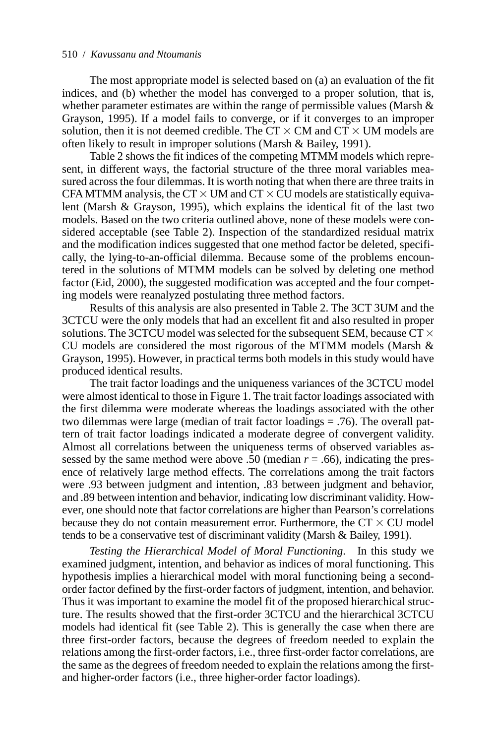#### 510 / *Kavussanu and Ntoumanis*

The most appropriate model is selected based on (a) an evaluation of the fit indices, and (b) whether the model has converged to a proper solution, that is, whether parameter estimates are within the range of permissible values (Marsh  $\&$ Grayson, 1995). If a model fails to converge, or if it converges to an improper solution, then it is not deemed credible. The CT  $\times$  CM and CT  $\times$  UM models are often likely to result in improper solutions (Marsh & Bailey, 1991).

Table 2 shows the fit indices of the competing MTMM models which represent, in different ways, the factorial structure of the three moral variables measured across the four dilemmas. It is worth noting that when there are three traits in CFA MTMM analysis, the CT  $\times$  UM and CT  $\times$  CU models are statistically equivalent (Marsh & Grayson, 1995), which explains the identical fit of the last two models. Based on the two criteria outlined above, none of these models were considered acceptable (see Table 2). Inspection of the standardized residual matrix and the modification indices suggested that one method factor be deleted, specifically, the lying-to-an-official dilemma. Because some of the problems encountered in the solutions of MTMM models can be solved by deleting one method factor (Eid, 2000), the suggested modification was accepted and the four competing models were reanalyzed postulating three method factors.

Results of this analysis are also presented in Table 2. The 3CT 3UM and the 3CTCU were the only models that had an excellent fit and also resulted in proper solutions. The 3CTCU model was selected for the subsequent SEM, because CT  $\times$ CU models are considered the most rigorous of the MTMM models (Marsh & Grayson, 1995). However, in practical terms both models in this study would have produced identical results.

The trait factor loadings and the uniqueness variances of the 3CTCU model were almost identical to those in Figure 1. The trait factor loadings associated with the first dilemma were moderate whereas the loadings associated with the other two dilemmas were large (median of trait factor loadings = .76). The overall pattern of trait factor loadings indicated a moderate degree of convergent validity. Almost all correlations between the uniqueness terms of observed variables assessed by the same method were above .50 (median  $r = .66$ ), indicating the presence of relatively large method effects. The correlations among the trait factors were .93 between judgment and intention, .83 between judgment and behavior, and .89 between intention and behavior, indicating low discriminant validity. However, one should note that factor correlations are higher than Pearson's correlations because they do not contain measurement error. Furthermore, the  $CT \times CU$  model tends to be a conservative test of discriminant validity (Marsh & Bailey, 1991).

*Testing the Hierarchical Model of Moral Functioning*. In this study we examined judgment, intention, and behavior as indices of moral functioning. This hypothesis implies a hierarchical model with moral functioning being a secondorder factor defined by the first-order factors of judgment, intention, and behavior. Thus it was important to examine the model fit of the proposed hierarchical structure. The results showed that the first-order 3CTCU and the hierarchical 3CTCU models had identical fit (see Table 2). This is generally the case when there are three first-order factors, because the degrees of freedom needed to explain the relations among the first-order factors, i.e., three first-order factor correlations, are the same as the degrees of freedom needed to explain the relations among the firstand higher-order factors (i.e., three higher-order factor loadings).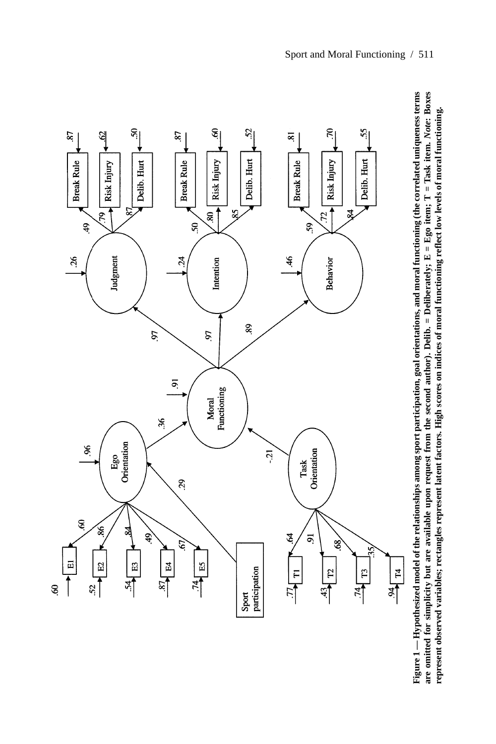

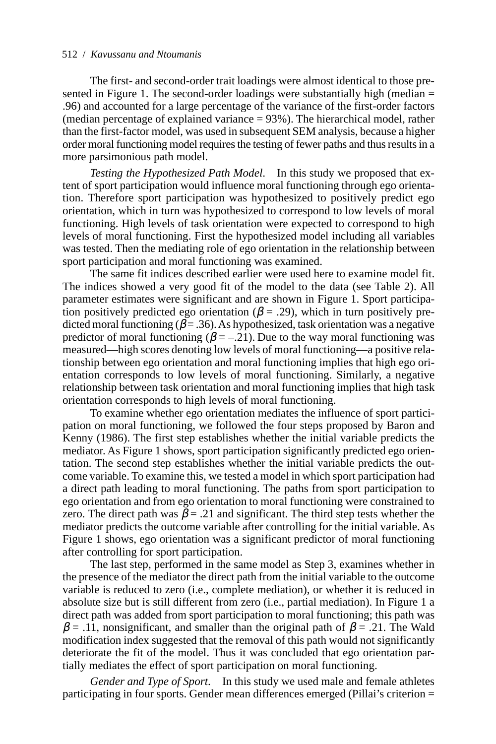#### 512 / *Kavussanu and Ntoumanis*

The first- and second-order trait loadings were almost identical to those presented in Figure 1. The second-order loadings were substantially high (median  $=$ .96) and accounted for a large percentage of the variance of the first-order factors (median percentage of explained variance = 93%). The hierarchical model, rather than the first-factor model, was used in subsequent SEM analysis, because a higher order moral functioning model requires the testing of fewer paths and thus results in a more parsimonious path model.

*Testing the Hypothesized Path Model*. In this study we proposed that extent of sport participation would influence moral functioning through ego orientation. Therefore sport participation was hypothesized to positively predict ego orientation, which in turn was hypothesized to correspond to low levels of moral functioning. High levels of task orientation were expected to correspond to high levels of moral functioning. First the hypothesized model including all variables was tested. Then the mediating role of ego orientation in the relationship between sport participation and moral functioning was examined.

The same fit indices described earlier were used here to examine model fit. The indices showed a very good fit of the model to the data (see Table 2). All parameter estimates were significant and are shown in Figure 1. Sport participation positively predicted ego orientation ( $\beta$  = .29), which in turn positively predicted moral functioning ( $\beta$  = .36). As hypothesized, task orientation was a negative predictor of moral functioning ( $\beta = -.21$ ). Due to the way moral functioning was measured—high scores denoting low levels of moral functioning—a positive relationship between ego orientation and moral functioning implies that high ego orientation corresponds to low levels of moral functioning. Similarly, a negative relationship between task orientation and moral functioning implies that high task orientation corresponds to high levels of moral functioning.

To examine whether ego orientation mediates the influence of sport participation on moral functioning, we followed the four steps proposed by Baron and Kenny (1986). The first step establishes whether the initial variable predicts the mediator. As Figure 1 shows, sport participation significantly predicted ego orientation. The second step establishes whether the initial variable predicts the outcome variable. To examine this, we tested a model in which sport participation had a direct path leading to moral functioning. The paths from sport participation to ego orientation and from ego orientation to moral functioning were constrained to zero. The direct path was  $\beta$  = .21 and significant. The third step tests whether the mediator predicts the outcome variable after controlling for the initial variable. As Figure 1 shows, ego orientation was a significant predictor of moral functioning after controlling for sport participation.

The last step, performed in the same model as Step 3, examines whether in the presence of the mediator the direct path from the initial variable to the outcome variable is reduced to zero (i.e., complete mediation), or whether it is reduced in absolute size but is still different from zero (i.e., partial mediation). In Figure 1 a direct path was added from sport participation to moral functioning; this path was  $\beta$  = .11, nonsignificant, and smaller than the original path of  $\beta$  = .21. The Wald modification index suggested that the removal of this path would not significantly deteriorate the fit of the model. Thus it was concluded that ego orientation partially mediates the effect of sport participation on moral functioning.

*Gender and Type of Sport*. In this study we used male and female athletes participating in four sports. Gender mean differences emerged (Pillai's criterion =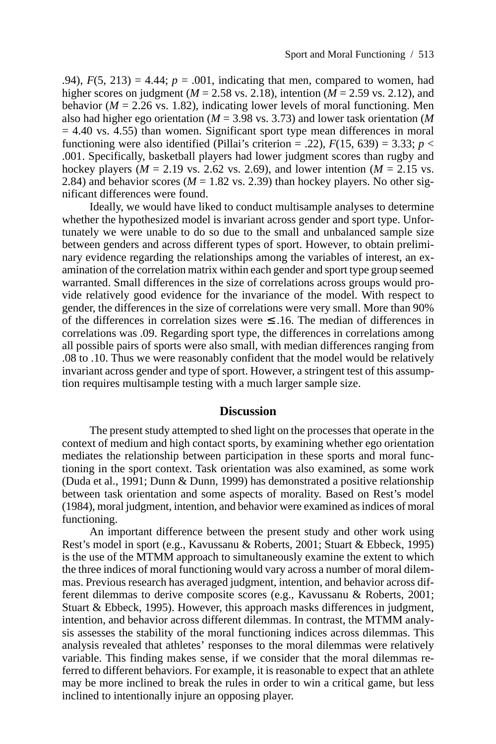.94),  $F(5, 213) = 4.44$ ;  $p = .001$ , indicating that men, compared to women, had higher scores on judgment (*M* = 2.58 vs. 2.18), intention (*M* = 2.59 vs. 2.12), and behavior ( $M = 2.26$  vs. 1.82), indicating lower levels of moral functioning. Men also had higher ego orientation (*M* = 3.98 vs. 3.73) and lower task orientation (*M*  $= 4.40$  vs. 4.55) than women. Significant sport type mean differences in moral functioning were also identified (Pillai's criterion = .22),  $F(15, 639) = 3.33$ ;  $p <$ .001. Specifically, basketball players had lower judgment scores than rugby and hockey players ( $M = 2.19$  vs. 2.62 vs. 2.69), and lower intention ( $M = 2.15$  vs. 2.84) and behavior scores ( $M = 1.82$  vs. 2.39) than hockey players. No other significant differences were found.

Ideally, we would have liked to conduct multisample analyses to determine whether the hypothesized model is invariant across gender and sport type. Unfortunately we were unable to do so due to the small and unbalanced sample size between genders and across different types of sport. However, to obtain preliminary evidence regarding the relationships among the variables of interest, an examination of the correlation matrix within each gender and sport type group seemed warranted. Small differences in the size of correlations across groups would provide relatively good evidence for the invariance of the model. With respect to gender, the differences in the size of correlations were very small. More than 90% of the differences in correlation sizes were  $\leq$  16. The median of differences in correlations was .09. Regarding sport type, the differences in correlations among all possible pairs of sports were also small, with median differences ranging from .08 to .10. Thus we were reasonably confident that the model would be relatively invariant across gender and type of sport. However, a stringent test of this assumption requires multisample testing with a much larger sample size.

#### **Discussion**

The present study attempted to shed light on the processes that operate in the context of medium and high contact sports, by examining whether ego orientation mediates the relationship between participation in these sports and moral functioning in the sport context. Task orientation was also examined, as some work (Duda et al., 1991; Dunn & Dunn, 1999) has demonstrated a positive relationship between task orientation and some aspects of morality. Based on Rest's model (1984), moral judgment, intention, and behavior were examined as indices of moral functioning.

An important difference between the present study and other work using Rest's model in sport (e.g., Kavussanu & Roberts, 2001; Stuart & Ebbeck, 1995) is the use of the MTMM approach to simultaneously examine the extent to which the three indices of moral functioning would vary across a number of moral dilemmas. Previous research has averaged judgment, intention, and behavior across different dilemmas to derive composite scores (e.g., Kavussanu & Roberts, 2001; Stuart & Ebbeck, 1995). However, this approach masks differences in judgment, intention, and behavior across different dilemmas. In contrast, the MTMM analysis assesses the stability of the moral functioning indices across dilemmas. This analysis revealed that athletes' responses to the moral dilemmas were relatively variable. This finding makes sense, if we consider that the moral dilemmas referred to different behaviors. For example, it is reasonable to expect that an athlete may be more inclined to break the rules in order to win a critical game, but less inclined to intentionally injure an opposing player.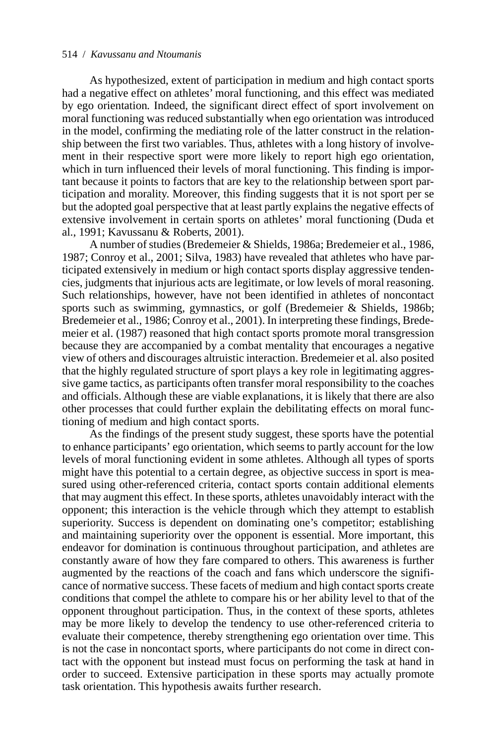#### 514 / *Kavussanu and Ntoumanis*

As hypothesized, extent of participation in medium and high contact sports had a negative effect on athletes' moral functioning, and this effect was mediated by ego orientation*.* Indeed, the significant direct effect of sport involvement on moral functioning was reduced substantially when ego orientation was introduced in the model, confirming the mediating role of the latter construct in the relationship between the first two variables. Thus, athletes with a long history of involvement in their respective sport were more likely to report high ego orientation, which in turn influenced their levels of moral functioning. This finding is important because it points to factors that are key to the relationship between sport participation and morality. Moreover, this finding suggests that it is not sport per se but the adopted goal perspective that at least partly explains the negative effects of extensive involvement in certain sports on athletes' moral functioning (Duda et al., 1991; Kavussanu & Roberts, 2001).

A number of studies (Bredemeier & Shields, 1986a; Bredemeier et al., 1986, 1987; Conroy et al., 2001; Silva, 1983) have revealed that athletes who have participated extensively in medium or high contact sports display aggressive tendencies, judgments that injurious acts are legitimate, or low levels of moral reasoning. Such relationships, however, have not been identified in athletes of noncontact sports such as swimming, gymnastics, or golf (Bredemeier & Shields, 1986b; Bredemeier et al., 1986; Conroy et al., 2001). In interpreting these findings, Bredemeier et al. (1987) reasoned that high contact sports promote moral transgression because they are accompanied by a combat mentality that encourages a negative view of others and discourages altruistic interaction. Bredemeier et al. also posited that the highly regulated structure of sport plays a key role in legitimating aggressive game tactics, as participants often transfer moral responsibility to the coaches and officials. Although these are viable explanations, it is likely that there are also other processes that could further explain the debilitating effects on moral functioning of medium and high contact sports.

As the findings of the present study suggest, these sports have the potential to enhance participants' ego orientation, which seems to partly account for the low levels of moral functioning evident in some athletes. Although all types of sports might have this potential to a certain degree, as objective success in sport is measured using other-referenced criteria, contact sports contain additional elements that may augment this effect. In these sports, athletes unavoidably interact with the opponent; this interaction is the vehicle through which they attempt to establish superiority. Success is dependent on dominating one's competitor; establishing and maintaining superiority over the opponent is essential. More important, this endeavor for domination is continuous throughout participation, and athletes are constantly aware of how they fare compared to others. This awareness is further augmented by the reactions of the coach and fans which underscore the significance of normative success. These facets of medium and high contact sports create conditions that compel the athlete to compare his or her ability level to that of the opponent throughout participation. Thus, in the context of these sports, athletes may be more likely to develop the tendency to use other-referenced criteria to evaluate their competence, thereby strengthening ego orientation over time. This is not the case in noncontact sports, where participants do not come in direct contact with the opponent but instead must focus on performing the task at hand in order to succeed. Extensive participation in these sports may actually promote task orientation. This hypothesis awaits further research.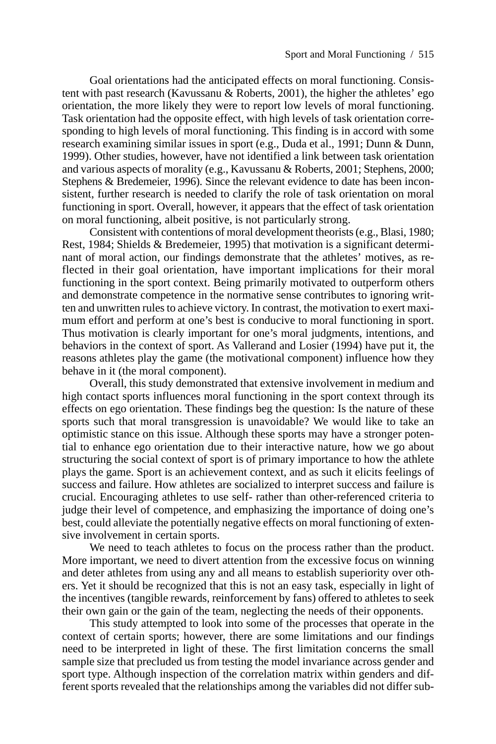Goal orientations had the anticipated effects on moral functioning. Consistent with past research (Kavussanu & Roberts, 2001), the higher the athletes' ego orientation, the more likely they were to report low levels of moral functioning. Task orientation had the opposite effect, with high levels of task orientation corresponding to high levels of moral functioning. This finding is in accord with some research examining similar issues in sport (e.g., Duda et al., 1991; Dunn & Dunn, 1999). Other studies, however, have not identified a link between task orientation and various aspects of morality (e.g., Kavussanu & Roberts, 2001; Stephens, 2000; Stephens & Bredemeier, 1996). Since the relevant evidence to date has been inconsistent, further research is needed to clarify the role of task orientation on moral functioning in sport. Overall, however, it appears that the effect of task orientation on moral functioning, albeit positive, is not particularly strong.

Consistent with contentions of moral development theorists (e.g., Blasi, 1980; Rest, 1984; Shields & Bredemeier, 1995) that motivation is a significant determinant of moral action, our findings demonstrate that the athletes' motives, as reflected in their goal orientation, have important implications for their moral functioning in the sport context. Being primarily motivated to outperform others and demonstrate competence in the normative sense contributes to ignoring written and unwritten rules to achieve victory. In contrast, the motivation to exert maximum effort and perform at one's best is conducive to moral functioning in sport. Thus motivation is clearly important for one's moral judgments, intentions, and behaviors in the context of sport. As Vallerand and Losier (1994) have put it, the reasons athletes play the game (the motivational component) influence how they behave in it (the moral component).

Overall, this study demonstrated that extensive involvement in medium and high contact sports influences moral functioning in the sport context through its effects on ego orientation. These findings beg the question: Is the nature of these sports such that moral transgression is unavoidable? We would like to take an optimistic stance on this issue. Although these sports may have a stronger potential to enhance ego orientation due to their interactive nature, how we go about structuring the social context of sport is of primary importance to how the athlete plays the game. Sport is an achievement context, and as such it elicits feelings of success and failure. How athletes are socialized to interpret success and failure is crucial. Encouraging athletes to use self- rather than other-referenced criteria to judge their level of competence, and emphasizing the importance of doing one's best, could alleviate the potentially negative effects on moral functioning of extensive involvement in certain sports.

We need to teach athletes to focus on the process rather than the product. More important, we need to divert attention from the excessive focus on winning and deter athletes from using any and all means to establish superiority over others. Yet it should be recognized that this is not an easy task, especially in light of the incentives (tangible rewards, reinforcement by fans) offered to athletes to seek their own gain or the gain of the team, neglecting the needs of their opponents.

This study attempted to look into some of the processes that operate in the context of certain sports; however, there are some limitations and our findings need to be interpreted in light of these. The first limitation concerns the small sample size that precluded us from testing the model invariance across gender and sport type. Although inspection of the correlation matrix within genders and different sports revealed that the relationships among the variables did not differ sub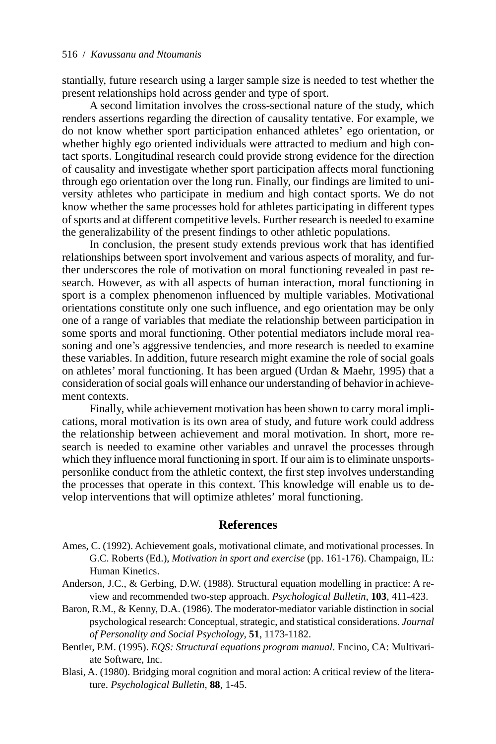stantially, future research using a larger sample size is needed to test whether the present relationships hold across gender and type of sport.

A second limitation involves the cross-sectional nature of the study, which renders assertions regarding the direction of causality tentative. For example, we do not know whether sport participation enhanced athletes' ego orientation, or whether highly ego oriented individuals were attracted to medium and high contact sports. Longitudinal research could provide strong evidence for the direction of causality and investigate whether sport participation affects moral functioning through ego orientation over the long run. Finally, our findings are limited to university athletes who participate in medium and high contact sports. We do not know whether the same processes hold for athletes participating in different types of sports and at different competitive levels. Further research is needed to examine the generalizability of the present findings to other athletic populations.

In conclusion, the present study extends previous work that has identified relationships between sport involvement and various aspects of morality, and further underscores the role of motivation on moral functioning revealed in past research. However, as with all aspects of human interaction, moral functioning in sport is a complex phenomenon influenced by multiple variables. Motivational orientations constitute only one such influence, and ego orientation may be only one of a range of variables that mediate the relationship between participation in some sports and moral functioning. Other potential mediators include moral reasoning and one's aggressive tendencies, and more research is needed to examine these variables. In addition, future research might examine the role of social goals on athletes' moral functioning. It has been argued (Urdan & Maehr, 1995) that a consideration of social goals will enhance our understanding of behavior in achievement contexts.

Finally, while achievement motivation has been shown to carry moral implications, moral motivation is its own area of study, and future work could address the relationship between achievement and moral motivation. In short, more research is needed to examine other variables and unravel the processes through which they influence moral functioning in sport. If our aim is to eliminate unsportspersonlike conduct from the athletic context, the first step involves understanding the processes that operate in this context. This knowledge will enable us to develop interventions that will optimize athletes' moral functioning.

#### **References**

- Ames, C. (1992). Achievement goals, motivational climate, and motivational processes. In G.C. Roberts (Ed.), *Motivation in sport and exercise* (pp. 161-176). Champaign, IL: Human Kinetics.
- Anderson, J.C., & Gerbing, D.W. (1988). Structural equation modelling in practice: A review and recommended two-step approach. *Psychological Bulletin*, **103**, 411-423.
- Baron, R.M., & Kenny, D.A. (1986). The moderator-mediator variable distinction in social psychological research: Conceptual, strategic, and statistical considerations. *Journal of Personality and Social Psychology*, **51**, 1173-1182.
- Bentler, P.M. (1995). *EQS: Structural equations program manual*. Encino, CA: Multivariate Software, Inc.
- Blasi, A. (1980). Bridging moral cognition and moral action: A critical review of the literature. *Psychological Bulletin*, **88**, 1-45.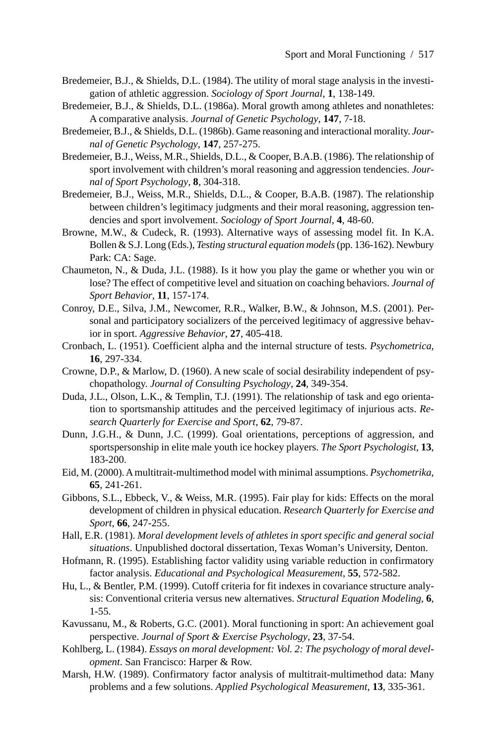- Bredemeier, B.J., & Shields, D.L. (1984). The utility of moral stage analysis in the investigation of athletic aggression. *Sociology of Sport Journal*, **1**, 138-149.
- Bredemeier, B.J., & Shields, D.L. (1986a). Moral growth among athletes and nonathletes: A comparative analysis. *Journal of Genetic Psychology*, **147**, 7-18.
- Bredemeier, B.J., & Shields, D.L. (1986b). Game reasoning and interactional morality. *Journal of Genetic Psychology*, **147**, 257-275.
- Bredemeier, B.J., Weiss, M.R., Shields, D.L., & Cooper, B.A.B. (1986). The relationship of sport involvement with children's moral reasoning and aggression tendencies. *Journal of Sport Psychology*, **8**, 304-318.
- Bredemeier, B.J., Weiss, M.R., Shields, D.L., & Cooper, B.A.B. (1987). The relationship between children's legitimacy judgments and their moral reasoning, aggression tendencies and sport involvement. *Sociology of Sport Journal*, **4**, 48-60.
- Browne, M.W., & Cudeck, R. (1993). Alternative ways of assessing model fit. In K.A. Bollen & S.J. Long (Eds.), *Testing structural equation models* (pp. 136-162). Newbury Park: CA: Sage.
- Chaumeton, N., & Duda, J.L. (1988). Is it how you play the game or whether you win or lose? The effect of competitive level and situation on coaching behaviors. *Journal of Sport Behavior*, **11**, 157-174.
- Conroy, D.E., Silva, J.M., Newcomer, R.R., Walker, B.W., & Johnson, M.S. (2001). Personal and participatory socializers of the perceived legitimacy of aggressive behavior in sport. *Aggressive Behavior*, **27**, 405-418.
- Cronbach, L. (1951). Coefficient alpha and the internal structure of tests. *Psychometrica*, **16**, 297-334.
- Crowne, D.P., & Marlow, D. (1960). A new scale of social desirability independent of psychopathology. *Journal of Consulting Psychology*, **24**, 349-354.
- Duda, J.L., Olson, L.K., & Templin, T.J. (1991). The relationship of task and ego orientation to sportsmanship attitudes and the perceived legitimacy of injurious acts. *Research Quarterly for Exercise and Sport*, **62**, 79-87.
- Dunn, J.G.H., & Dunn, J.C. (1999). Goal orientations, perceptions of aggression, and sportspersonship in elite male youth ice hockey players. *The Sport Psychologist*, **13**, 183-200.
- Eid, M. (2000). A multitrait-multimethod model with minimal assumptions. *Psychometrika*, **65**, 241-261.
- Gibbons, S.L., Ebbeck, V., & Weiss, M.R. (1995). Fair play for kids: Effects on the moral development of children in physical education. *Research Quarterly for Exercise and Sport*, **66**, 247-255.
- Hall, E.R. (1981). *Moral development levels of athletes in sport specific and general social situations*. Unpublished doctoral dissertation, Texas Woman's University, Denton.
- Hofmann, R. (1995). Establishing factor validity using variable reduction in confirmatory factor analysis. *Educational and Psychological Measurement*, **55**, 572-582.
- Hu, L., & Bentler, P.M. (1999). Cutoff criteria for fit indexes in covariance structure analysis: Conventional criteria versus new alternatives. *Structural Equation Modeling*, **6**, 1-55.
- Kavussanu, M., & Roberts, G.C. (2001). Moral functioning in sport: An achievement goal perspective. *Journal of Sport & Exercise Psychology*, **23**, 37-54.
- Kohlberg, L. (1984). *Essays on moral development: Vol. 2: The psychology of moral development*. San Francisco: Harper & Row.
- Marsh, H.W. (1989). Confirmatory factor analysis of multitrait-multimethod data: Many problems and a few solutions. *Applied Psychological Measurement*, **13**, 335-361.